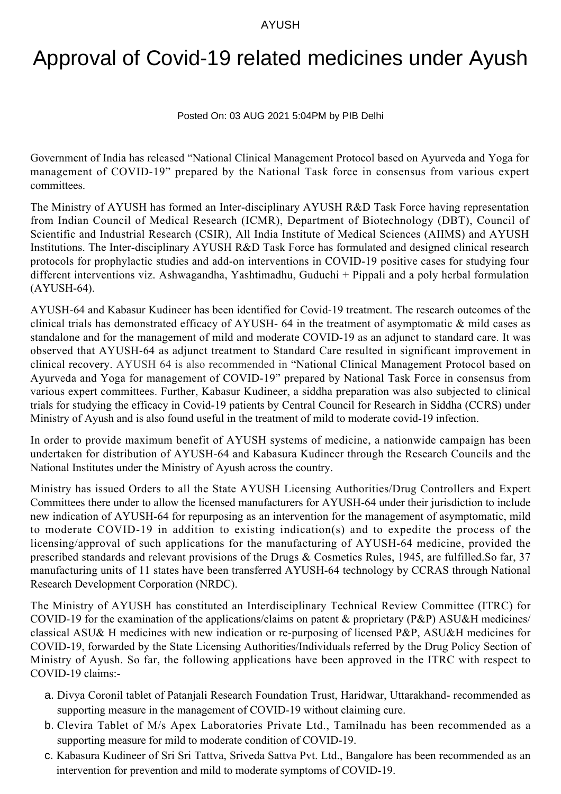## AYUSH

## Approval of Covid-19 related medicines under Ayush

## Posted On: 03 AUG 2021 5:04PM by PIB Delhi

Government of India has released "National Clinical Management Protocol based on Ayurveda and Yoga for management of COVID-19" prepared by the National Task force in consensus from various expert committees.

The Ministry of AYUSH has formed an Inter-disciplinary AYUSH R&D Task Force having representation from Indian Council of Medical Research (ICMR), Department of Biotechnology (DBT), Council of Scientific and Industrial Research (CSIR), All India Institute of Medical Sciences (AIIMS) and AYUSH Institutions. The Inter-disciplinary AYUSH R&D Task Force has formulated and designed clinical research protocols for prophylactic studies and add-on interventions in COVID-19 positive cases for studying four different interventions viz. Ashwagandha, Yashtimadhu, Guduchi + Pippali and a poly herbal formulation (AYUSH-64).

AYUSH-64 and Kabasur Kudineer has been identified for Covid-19 treatment. The research outcomes of the clinical trials has demonstrated efficacy of AYUSH- 64 in the treatment of asymptomatic & mild cases as standalone and for the management of mild and moderate COVID-19 as an adjunct to standard care. It was observed that AYUSH-64 as adjunct treatment to Standard Care resulted in significant improvement in clinical recovery. AYUSH 64 is also recommended in "National Clinical Management Protocol based on Ayurveda and Yoga for management of COVID-19" prepared by National Task Force in consensus from various expert committees. Further, Kabasur Kudineer, a siddha preparation was also subjected to clinical trials for studying the efficacy in Covid-19 patients by Central Council for Research in Siddha (CCRS) under Ministry of Ayush and is also found useful in the treatment of mild to moderate covid-19 infection.

In order to provide maximum benefit of AYUSH systems of medicine, a nationwide campaign has been undertaken for distribution of AYUSH-64 and Kabasura Kudineer through the Research Councils and the National Institutes under the Ministry of Ayush across the country.

Ministry has issued Orders to all the State AYUSH Licensing Authorities/Drug Controllers and Expert Committees there under to allow the licensed manufacturers for AYUSH-64 under their jurisdiction to include new indication of AYUSH-64 for repurposing as an intervention for the management of asymptomatic, mild to moderate COVID-19 in addition to existing indication(s) and to expedite the process of the licensing/approval of such applications for the manufacturing of AYUSH-64 medicine, provided the prescribed standards and relevant provisions of the Drugs & Cosmetics Rules, 1945, are fulfilled.So far, 37 manufacturing units of 11 states have been transferred AYUSH-64 technology by CCRAS through National Research Development Corporation (NRDC).

The Ministry of AYUSH has constituted an Interdisciplinary Technical Review Committee (ITRC) for COVID-19 for the examination of the applications/claims on patent & proprietary (P&P) ASU&H medicines/ classical ASU& H medicines with new indication or re-purposing of licensed P&P, ASU&H medicines for COVID-19, forwarded by the State Licensing Authorities/Individuals referred by the Drug Policy Section of Ministry of Ayush. So far, the following applications have been approved in the ITRC with respect to COVID-19 claims:-

- Divya Coronil tablet of Patanjali Research Foundation Trust, Haridwar, Uttarakhand- recommended as a. supporting measure in the management of COVID-19 without claiming cure.
- b. Clevira Tablet of M/s Apex Laboratories Private Ltd., Tamilnadu has been recommended as a supporting measure for mild to moderate condition of COVID-19.
- c. Kabasura Kudineer of Sri Sri Tattva, Sriveda Sattva Pvt. Ltd., Bangalore has been recommended as an intervention for prevention and mild to moderate symptoms of COVID-19.